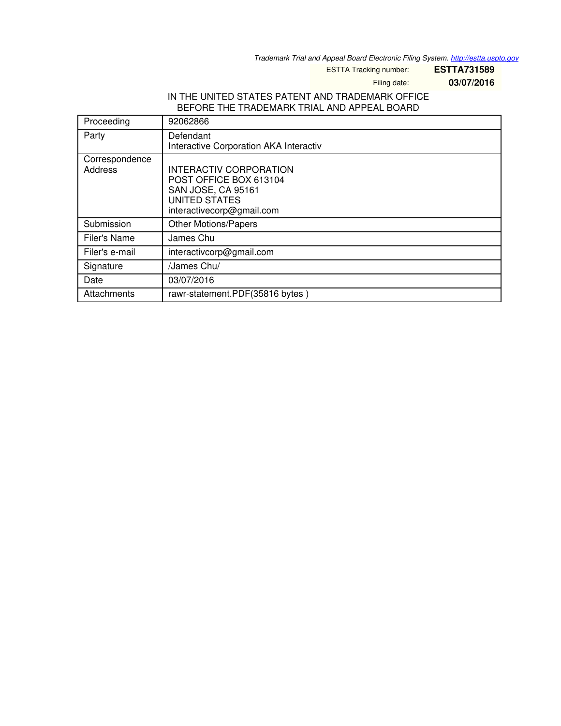*Trademark Trial and Appeal Board Electronic Filing System. <http://estta.uspto.gov>*

ESTTA Tracking number: **ESTTA731589**

Filing date: **03/07/2016**

## IN THE UNITED STATES PATENT AND TRADEMARK OFFICE BEFORE THE TRADEMARK TRIAL AND APPEAL BOARD

| Proceeding                | 92062866                                                                                                                           |
|---------------------------|------------------------------------------------------------------------------------------------------------------------------------|
| Party                     | Defendant<br>Interactive Corporation AKA Interactiv                                                                                |
| Correspondence<br>Address | INTERACTIV CORPORATION<br>POST OFFICE BOX 613104<br><b>SAN JOSE, CA 95161</b><br><b>UNITED STATES</b><br>interactivecorp@gmail.com |
| Submission                | <b>Other Motions/Papers</b>                                                                                                        |
| Filer's Name              | James Chu                                                                                                                          |
| Filer's e-mail            | interactivcorp@gmail.com                                                                                                           |
| Signature                 | /James Chu/                                                                                                                        |
| Date                      | 03/07/2016                                                                                                                         |
| Attachments               | rawr-statement.PDF(35816 bytes)                                                                                                    |